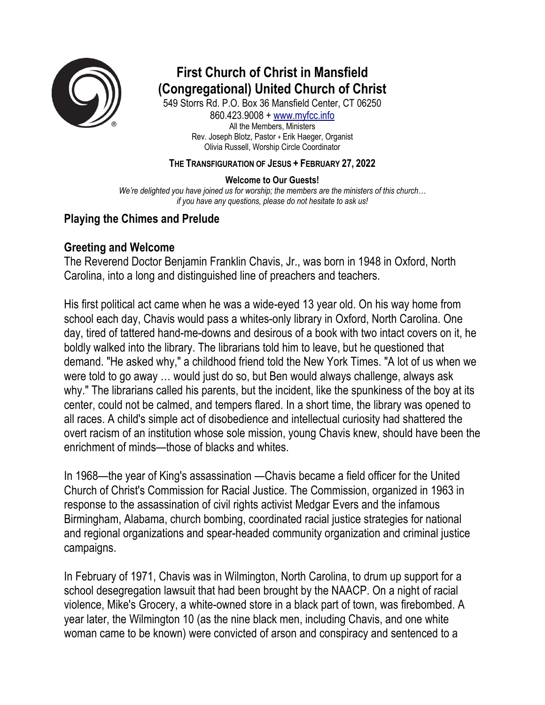

# **First Church of Christ in Mansfield (Congregational) United Church of Christ**

549 Storrs Rd. P.O. Box 36 Mansfield Center, CT 06250 860.423.9008 + www.myfcc.info All the Members, Ministers Rev. Joseph Blotz, Pastor + Erik Haeger, Organist Olivia Russell, Worship Circle Coordinator

### **THE TRANSFIGURATION OF JESUS + FEBRUARY 27, 2022**

### **Welcome to Our Guests!**

*We're delighted you have joined us for worship; the members are the ministers of this church… if you have any questions, please do not hesitate to ask us!*

### **Playing the Chimes and Prelude**

### **Greeting and Welcome**

The Reverend Doctor Benjamin Franklin Chavis, Jr., was born in 1948 in Oxford, North Carolina, into a long and distinguished line of preachers and teachers.

His first political act came when he was a wide-eyed 13 year old. On his way home from school each day, Chavis would pass a whites-only library in Oxford, North Carolina. One day, tired of tattered hand-me-downs and desirous of a book with two intact covers on it, he boldly walked into the library. The librarians told him to leave, but he questioned that demand. "He asked why," a childhood friend told the New York Times. "A lot of us when we were told to go away … would just do so, but Ben would always challenge, always ask why." The librarians called his parents, but the incident, like the spunkiness of the boy at its center, could not be calmed, and tempers flared. In a short time, the library was opened to all races. A child's simple act of disobedience and intellectual curiosity had shattered the overt racism of an institution whose sole mission, young Chavis knew, should have been the enrichment of minds—those of blacks and whites.

In 1968—the year of King's assassination —Chavis became a field officer for the United Church of Christ's Commission for Racial Justice. The Commission, organized in 1963 in response to the assassination of civil rights activist Medgar Evers and the infamous Birmingham, Alabama, church bombing, coordinated racial justice strategies for national and regional organizations and spear-headed community organization and criminal justice campaigns.

In February of 1971, Chavis was in Wilmington, North Carolina, to drum up support for a school desegregation lawsuit that had been brought by the NAACP. On a night of racial violence, Mike's Grocery, a white-owned store in a black part of town, was firebombed. A year later, the Wilmington 10 (as the nine black men, including Chavis, and one white woman came to be known) were convicted of arson and conspiracy and sentenced to a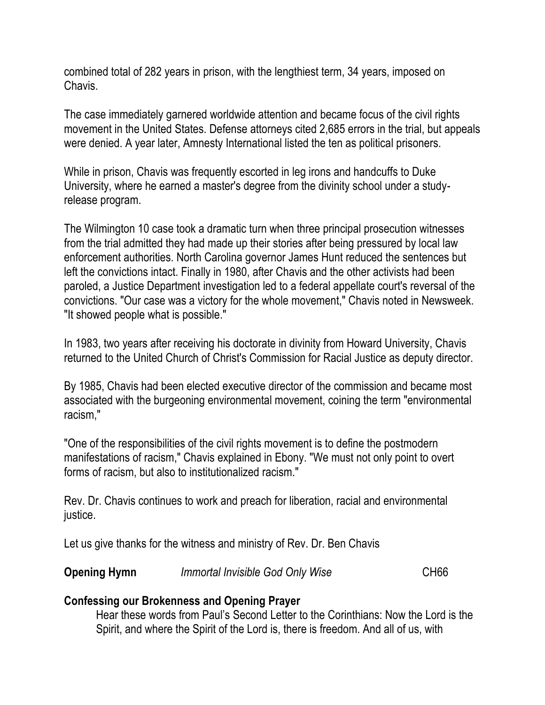combined total of 282 years in prison, with the lengthiest term, 34 years, imposed on Chavis.

The case immediately garnered worldwide attention and became focus of the civil rights movement in the United States. Defense attorneys cited 2,685 errors in the trial, but appeals were denied. A year later, Amnesty International listed the ten as political prisoners.

While in prison, Chavis was frequently escorted in leg irons and handcuffs to Duke University, where he earned a master's degree from the divinity school under a studyrelease program.

The Wilmington 10 case took a dramatic turn when three principal prosecution witnesses from the trial admitted they had made up their stories after being pressured by local law enforcement authorities. North Carolina governor James Hunt reduced the sentences but left the convictions intact. Finally in 1980, after Chavis and the other activists had been paroled, a Justice Department investigation led to a federal appellate court's reversal of the convictions. "Our case was a victory for the whole movement," Chavis noted in Newsweek. "It showed people what is possible."

In 1983, two years after receiving his doctorate in divinity from Howard University, Chavis returned to the United Church of Christ's Commission for Racial Justice as deputy director.

By 1985, Chavis had been elected executive director of the commission and became most associated with the burgeoning environmental movement, coining the term "environmental racism,"

"One of the responsibilities of the civil rights movement is to define the postmodern manifestations of racism," Chavis explained in Ebony. "We must not only point to overt forms of racism, but also to institutionalized racism."

Rev. Dr. Chavis continues to work and preach for liberation, racial and environmental justice.

Let us give thanks for the witness and ministry of Rev. Dr. Ben Chavis

|  | <b>Opening Hymn</b> | Immortal Invisible God Only Wise | <b>CH66</b> |
|--|---------------------|----------------------------------|-------------|
|--|---------------------|----------------------------------|-------------|

# **Confessing our Brokenness and Opening Prayer**

Hear these words from Paul's Second Letter to the Corinthians: Now the Lord is the Spirit, and where the Spirit of the Lord is, there is freedom. And all of us, with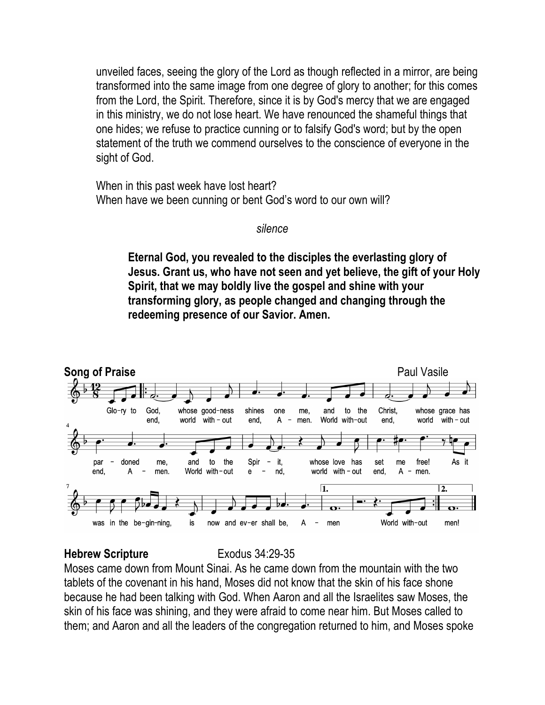unveiled faces, seeing the glory of the Lord as though reflected in a mirror, are being transformed into the same image from one degree of glory to another; for this comes from the Lord, the Spirit. Therefore, since it is by God's mercy that we are engaged in this ministry, we do not lose heart. We have renounced the shameful things that one hides; we refuse to practice cunning or to falsify God's word; but by the open statement of the truth we commend ourselves to the conscience of everyone in the sight of God.

When in this past week have lost heart? When have we been cunning or bent God's word to our own will?

### *silence*

**Eternal God, you revealed to the disciples the everlasting glory of Jesus. Grant us, who have not seen and yet believe, the gift of your Holy Spirit, that we may boldly live the gospel and shine with your transforming glory, as people changed and changing through the redeeming presence of our Savior. Amen.**



### **Hebrew Scripture** Exodus 34:29-35

Moses came down from Mount Sinai. As he came down from the mountain with the two tablets of the covenant in his hand, Moses did not know that the skin of his face shone because he had been talking with God. When Aaron and all the Israelites saw Moses, the skin of his face was shining, and they were afraid to come near him. But Moses called to them; and Aaron and all the leaders of the congregation returned to him, and Moses spoke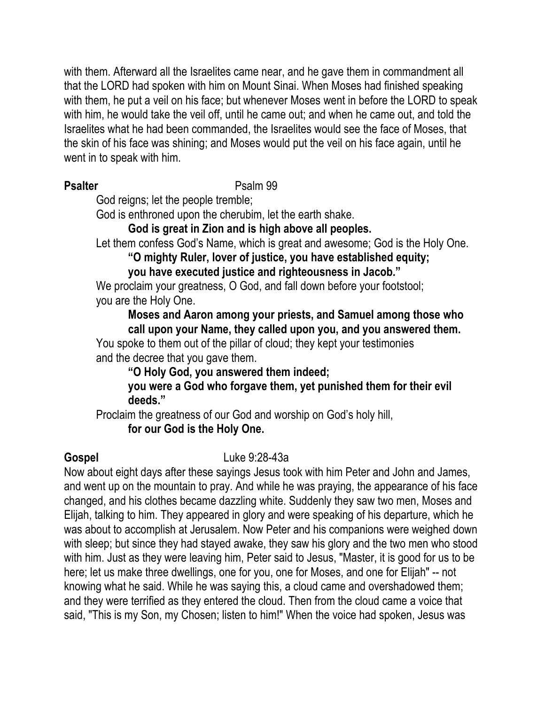with them. Afterward all the Israelites came near, and he gave them in commandment all that the LORD had spoken with him on Mount Sinai. When Moses had finished speaking with them, he put a veil on his face; but whenever Moses went in before the LORD to speak with him, he would take the veil off, until he came out; and when he came out, and told the Israelites what he had been commanded, the Israelites would see the face of Moses, that the skin of his face was shining; and Moses would put the veil on his face again, until he went in to speak with him.

### **Psalter** Psalm 99

God reigns; let the people tremble;

God is enthroned upon the cherubim, let the earth shake.

**God is great in Zion and is high above all peoples.**

Let them confess God's Name, which is great and awesome; God is the Holy One.

**"O mighty Ruler, lover of justice, you have established equity;** 

# **you have executed justice and righteousness in Jacob."**

We proclaim your greatness, O God, and fall down before your footstool; you are the Holy One.

**Moses and Aaron among your priests, and Samuel among those who call upon your Name, they called upon you, and you answered them.**

You spoke to them out of the pillar of cloud; they kept your testimonies and the decree that you gave them.

**"O Holy God, you answered them indeed;** 

**you were a God who forgave them, yet punished them for their evil deeds."**

Proclaim the greatness of our God and worship on God's holy hill, **for our God is the Holy One.**

**Gospel** Luke 9:28-43a

Now about eight days after these sayings Jesus took with him Peter and John and James, and went up on the mountain to pray. And while he was praying, the appearance of his face changed, and his clothes became dazzling white. Suddenly they saw two men, Moses and Elijah, talking to him. They appeared in glory and were speaking of his departure, which he was about to accomplish at Jerusalem. Now Peter and his companions were weighed down with sleep; but since they had stayed awake, they saw his glory and the two men who stood with him. Just as they were leaving him, Peter said to Jesus, "Master, it is good for us to be here; let us make three dwellings, one for you, one for Moses, and one for Elijah" -- not knowing what he said. While he was saying this, a cloud came and overshadowed them; and they were terrified as they entered the cloud. Then from the cloud came a voice that said, "This is my Son, my Chosen; listen to him!" When the voice had spoken, Jesus was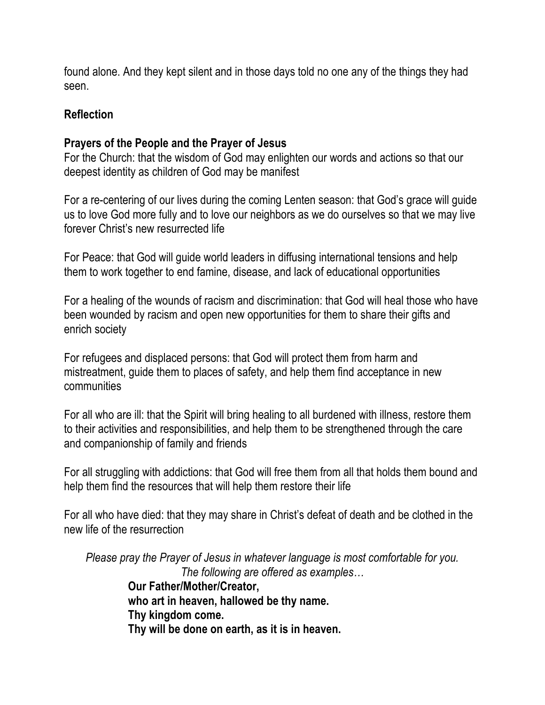found alone. And they kept silent and in those days told no one any of the things they had seen.

## **Reflection**

## **Prayers of the People and the Prayer of Jesus**

For the Church: that the wisdom of God may enlighten our words and actions so that our deepest identity as children of God may be manifest

For a re-centering of our lives during the coming Lenten season: that God's grace will guide us to love God more fully and to love our neighbors as we do ourselves so that we may live forever Christ's new resurrected life

For Peace: that God will guide world leaders in diffusing international tensions and help them to work together to end famine, disease, and lack of educational opportunities

For a healing of the wounds of racism and discrimination: that God will heal those who have been wounded by racism and open new opportunities for them to share their gifts and enrich society

For refugees and displaced persons: that God will protect them from harm and mistreatment, guide them to places of safety, and help them find acceptance in new communities

For all who are ill: that the Spirit will bring healing to all burdened with illness, restore them to their activities and responsibilities, and help them to be strengthened through the care and companionship of family and friends

For all struggling with addictions: that God will free them from all that holds them bound and help them find the resources that will help them restore their life

For all who have died: that they may share in Christ's defeat of death and be clothed in the new life of the resurrection

*Please pray the Prayer of Jesus in whatever language is most comfortable for you. The following are offered as examples…*

**Our Father/Mother/Creator, who art in heaven, hallowed be thy name. Thy kingdom come. Thy will be done on earth, as it is in heaven.**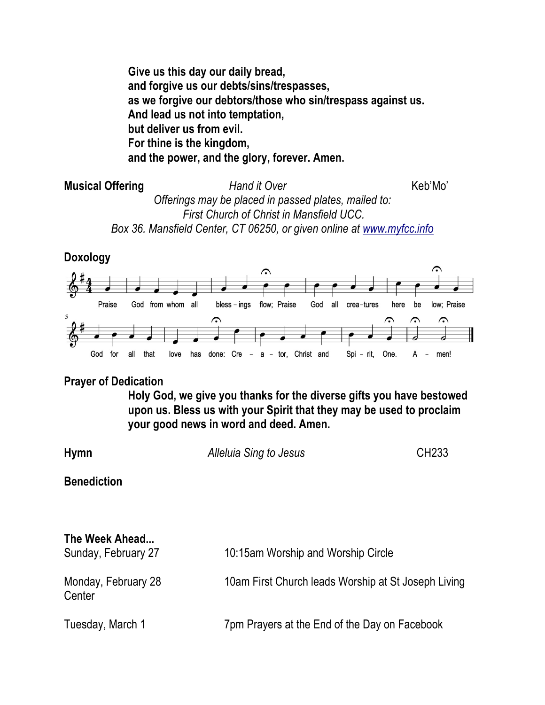**Give us this day our daily bread, and forgive us our debts/sins/trespasses, as we forgive our debtors/those who sin/trespass against us. And lead us not into temptation, but deliver us from evil. For thine is the kingdom, and the power, and the glory, forever. Amen.**

**Musical Offering**  *Hand it Over* Keb'Mo' *Offerings may be placed in passed plates, mailed to: First Church of Christ in Mansfield UCC. Box 36. Mansfield Center, CT 06250, or given online at www.myfcc.info*

**Doxology**



### **Prayer of Dedication**

**Holy God, we give you thanks for the diverse gifts you have bestowed upon us. Bless us with your Spirit that they may be used to proclaim your good news in word and deed. Amen.**

| Hymn | Alleluia Sing to Jesus | CH233 |
|------|------------------------|-------|
|------|------------------------|-------|

**Benediction**

| The Week Ahead<br>Sunday, February 27 | 10:15am Worship and Worship Circle                  |
|---------------------------------------|-----------------------------------------------------|
| Monday, February 28<br>Center         | 10am First Church leads Worship at St Joseph Living |
| Tuesday, March 1                      | 7pm Prayers at the End of the Day on Facebook       |